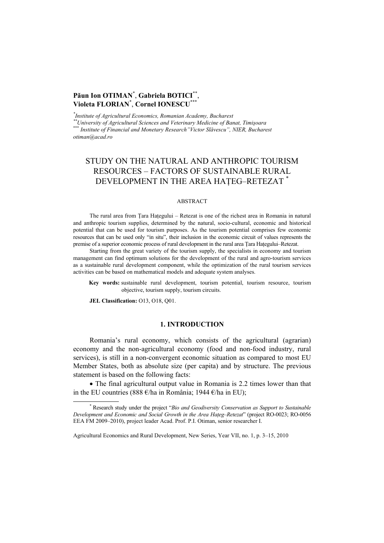## **Păun Ion OTIMAN**\* , **Gabriela BOTICI**\*\*, **Violeta FLORIAN**\* , **Cornel IONESCU**\*\*\*

*\*Institute of Agricultural Economics, Romanian Academy, Bucharest* 

*Institute of Agricultural Economics, Romanian Academy, Bucharest \*\*University of Agricultural Sciences and Veterinary Medicine of Banat, Timişoara* \*\*\* *Institute of Financial and Monetary Research"Victor Slăvescu", NIER, Bucharest otiman@acad.ro* 

# STUDY ON THE NATURAL AND ANTHROPIC TOURISM RESOURCES – FACTORS OF SUSTAINABLE RURAL DEVELOPMENT IN THE AREA HATEG-RETEZAT<sup>\*</sup>

## ABSTRACT

The rural area from Tara Hațegului – Retezat is one of the richest area in Romania in natural and anthropic tourism supplies, determined by the natural, socio-cultural, economic and historical potential that can be used for tourism purposes. As the tourism potential comprises few economic resources that can be used only "in situ", their inclusion in the economic circuit of values represents the premise of a superior economic process of rural development in the rural area Tara Hategului–Retezat.

Starting from the great variety of the tourism supply, the specialists in economy and tourism management can find optimum solutions for the development of the rural and agro-tourism services as a sustainable rural development component, while the optimization of the rural tourism services activities can be based on mathematical models and adequate system analyses.

**Key words:** sustainable rural development, tourism potential, tourism resource, tourism objective, tourism supply, tourism circuits.

**JEL Classification:** O13, O18, Q01.

## **1. INTRODUCTION**

Romania's rural economy, which consists of the agricultural (agrarian) economy and the non-agricultural economy (food and non-food industry, rural services), is still in a non-convergent economic situation as compared to most EU Member States, both as absolute size (per capita) and by structure. The previous statement is based on the following facts:

• The final agricultural output value in Romania is 2.2 times lower than that in the EU countries (888 €/ha in România; 1944 €/ha in EU);

 <sup>\*</sup> Research study under the project "*Bio and Geodiversity Conservation as Support to Sustainable Development and Economic and Social Growth in the Area Haţeg–Retezat*" (project RO-0023; RO-0056 EEA FM 2009–2010), project leader Acad. Prof. P.I. Otiman, senior researcher I.

Agricultural Economics and Rural Development, New Series, Year VII, no. 1, p. 3–15, 2010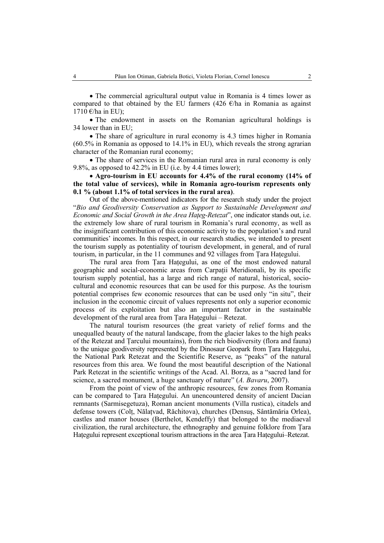• The commercial agricultural output value in Romania is 4 times lower as compared to that obtained by the EU farmers (426  $\epsilon$ /ha in Romania as against 1710  $\varepsilon$ /ha in EU);

• The endowment in assets on the Romanian agricultural holdings is 34 lower than in EU;

• The share of agriculture in rural economy is 4.3 times higher in Romania (60.5% in Romania as opposed to 14.1% in EU), which reveals the strong agrarian character of the Romanian rural economy;

• The share of services in the Romanian rural area in rural economy is only 9.8%, as opposed to 42.2% in EU (i.e. by 4.4 times lower);

• **Agro-tourism in EU accounts for 4.4% of the rural economy (14% of the total value of services), while in Romania agro-tourism represents only 0.1 % (about 1.1% of total services in the rural area)**.

Out of the above-mentioned indicators for the research study under the project "*Bio and Geodiversity Conservation as Support to Sustainable Development and Economic and Social Growth in the Area Hateg-Retezat*", one indicator stands out, i.e. the extremely low share of rural tourism in Romania's rural economy, as well as the insignificant contribution of this economic activity to the population's and rural communities' incomes. In this respect, in our research studies, we intended to present the tourism supply as potentiality of tourism development, in general, and of rural tourism, in particular, in the 11 communes and 92 villages from Ţara Haţegului.

The rural area from Ţara Haţegului, as one of the most endowed natural geographic and social-economic areas from Carpatii Meridionali, by its specific tourism supply potential, has a large and rich range of natural, historical, sociocultural and economic resources that can be used for this purpose. As the tourism potential comprises few economic resources that can be used only "in situ", their inclusion in the economic circuit of values represents not only a superior economic process of its exploitation but also an important factor in the sustainable development of the rural area from Tara Hategului – Retezat.

The natural tourism resources (the great variety of relief forms and the unequalled beauty of the natural landscape, from the glacier lakes to the high peaks of the Retezat and Ţarcului mountains), from the rich biodiversity (flora and fauna) to the unique geodiversity represented by the Dinosaur Geopark from Tara Hategului, the National Park Retezat and the Scientific Reserve, as "peaks" of the natural resources from this area. We found the most beautiful description of the National Park Retezat in the scientific writings of the Acad. Al. Borza, as a "sacred land for science, a sacred monument, a huge sanctuary of nature" (*A. Bavaru*, 2007).

From the point of view of the anthropic resources, few zones from Romania can be compared to Tara Hategului. An unencountered density of ancient Dacian remnants (Sarmisegetuza), Roman ancient monuments (Villa rustica), citadels and defense towers (Colţ, Nălaţvad, Răchitova), churches (Densuş, Sântămăria Orlea), castles and manor houses (Berthelot, Kendeffy) that belonged to the mediaeval civilization, the rural architecture, the ethnography and genuine folklore from Ţara Hategului represent exceptional tourism attractions in the area Tara Hategului–Retezat.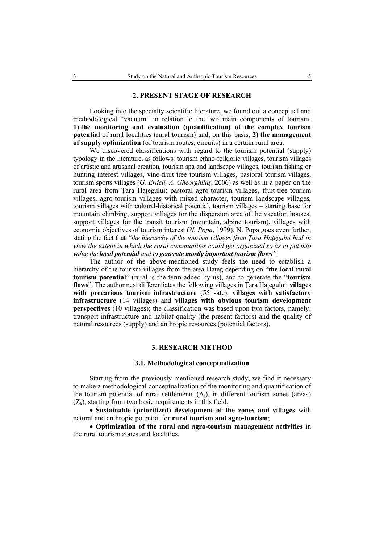#### **2. PRESENT STAGE OF RESEARCH**

Looking into the specialty scientific literature, we found out a conceptual and methodological "vacuum" in relation to the two main components of tourism: **1) the monitoring and evaluation (quantification) of the complex tourism potential** of rural localities (rural tourism) and, on this basis, **2) the management of supply optimization** (of tourism routes, circuits) in a certain rural area.

We discovered classifications with regard to the tourism potential (supply) typology in the literature, as follows: tourism ethno-folkloric villages, tourism villages of artistic and artisanal creation, tourism spa and landscape villages, tourism fishing or hunting interest villages, vine-fruit tree tourism villages, pastoral tourism villages, tourism sports villages (*G. Erdeli, A. Gheorghilaş*, 2006) as well as in a paper on the rural area from Tara Hategului: pastoral agro-tourism villages, fruit-tree tourism villages, agro-tourism villages with mixed character, tourism landscape villages, tourism villages with cultural-historical potential, tourism villages – starting base for mountain climbing, support villages for the dispersion area of the vacation houses, support villages for the transit tourism (mountain, alpine tourism), villages with economic objectives of tourism interest (*N. Popa*, 1999). N. Popa goes even further, stating the fact that *"the hierarchy of the tourism villages from Ţara Haţegului had in view the extent in which the rural communities could get organized so as to put into value the local potential and to generate mostly important tourism flows"*.

The author of the above-mentioned study feels the need to establish a hierarchy of the tourism villages from the area Hateg depending on "**the local rural tourism potential**" (rural is the term added by us), and to generate the "**tourism flows**". The author next differentiates the following villages in Ţara Haţegului: **villages with precarious tourism infrastructure** (55 sate), **villages with satisfactory infrastructure** (14 villages) and **villages with obvious tourism development perspectives** (10 villages); the classification was based upon two factors, namely: transport infrastructure and habitat quality (the present factors) and the quality of natural resources (supply) and anthropic resources (potential factors).

#### **3. RESEARCH METHOD**

#### **3.1. Methodological conceptualization**

Starting from the previously mentioned research study, we find it necessary to make a methodological conceptualization of the monitoring and quantification of the tourism potential of rural settlements  $(A<sub>i</sub>)$ , in different tourism zones (areas)  $(Z_k)$ , starting from two basic requirements in this field:

• **Sustainable (prioritized) development of the zones and villages** with natural and anthropic potential for **rural tourism and agro-tourism**;

• **Optimization of the rural and agro-tourism management activities** in the rural tourism zones and localities.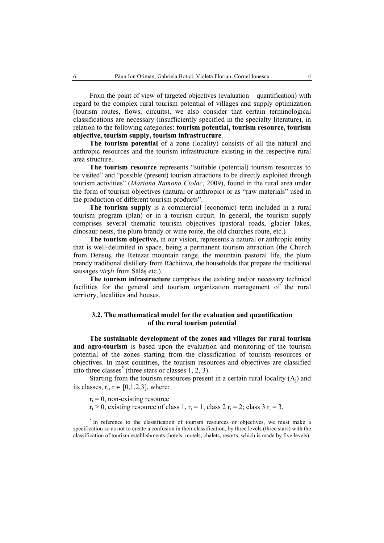From the point of view of targeted objectives (evaluation – quantification) with regard to the complex rural tourism potential of villages and supply optimization (tourism routes, flows, circuits), we also consider that certain terminological classifications are necessary (insufficiently specified in the specialty literature), in relation to the following categories: **tourism potential, tourism resource, tourism objective, tourism supply, tourism infrastructure**.

**The tourism potential** of a zone (locality) consists of all the natural and anthropic resources and the tourism infrastructure existing in the respective rural area structure.

**The tourism resource** represents "suitable (potential) tourism resources to be visited" and "possible (present) tourism attractions to be directly exploited through tourism activities" (*Mariana Ramona Ciolac*, 2009), found in the rural area under the form of tourism objectives (natural or anthropic) or as "raw materials" used in the production of different tourism products".

**The tourism supply** is a commercial (economic) term included in a rural tourism program (plan) or in a tourism circuit. In general, the tourism supply comprises several thematic tourism objectives (pastoral roads, glacier lakes, dinosaur nests, the plum brandy or wine route, the old churches route, etc.)

**The tourism objective,** in our vision, represents a natural or anthropic entity that is well-delimited in space, being a permanent tourism attraction (the Church from Densuş, the Retezat mountain range, the mountain pastoral life, the plum brandy traditional distillery from Răchitova, the households that prepare the traditional sausages *virşli* from Sălăş etc.).

**The tourism infrastructure** comprises the existing and/or necessary technical facilities for the general and tourism organization management of the rural territory, localities and houses.

## **3.2. The mathematical model for the evaluation and quantification of the rural tourism potential**

**The sustainable development of the zones and villages for rural tourism and agro-tourism** is based upon the evaluation and monitoring of the tourism potential of the zones starting from the classification of tourism resources or objectives. In most countries, the tourism resources and objectives are classified into three classes\* (three stars or classes 1, 2, 3).

Starting from the tourism resources present in a certain rural locality  $(A<sub>i</sub>)$  and its classes,  $r_i$ ,  $r_i \in [0,1,2,3]$ , where:

 $r_i = 0$ , non-existing resource

 $r_i > 0$ , existing resource of class 1,  $r_i = 1$ ; class 2  $r_i = 2$ ; class 3  $r_i = 3$ ,

 <sup>\*</sup> <sup>\*</sup> In reference to the classification of tourism resources or objectives, we must make a specification so as not to create a confusion in their classification, by three levels (three stars) with the classification of tourism establishments (hotels, motels, chalets, resorts, which is made by five levels).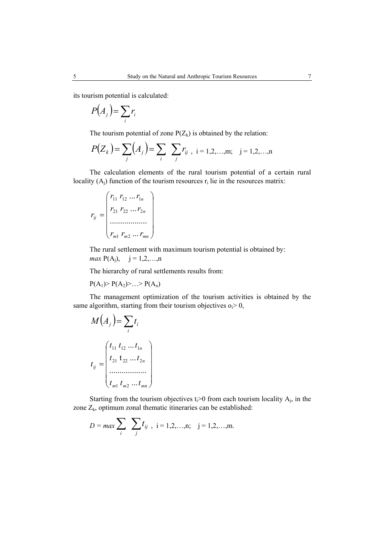its tourism potential is calculated:

$$
P(A_j) = \sum_i r_i
$$

The tourism potential of zone  $P(Z_k)$  is obtained by the relation:

$$
P(Z_k) = \sum_j (A_j) = \sum_i \sum_j r_{ij}, \quad i = 1, 2, \dots, m; \quad j = 1, 2, \dots, n
$$

The calculation elements of the rural tourism potential of a certain rural locality  $(A_i)$  function of the tourism resources  $r_i$  lie in the resources matrix:

$$
r_{ij} = \begin{pmatrix} r_{11} & r_{12} & \dots & r_{1n} \\ r_{21} & r_{22} & \dots & r_{2n} \\ \dots & \dots & \dots & \dots \\ r_{m1} & r_{m2} & \dots & r_{mn} \end{pmatrix}
$$

The rural settlement with maximum tourism potential is obtained by: *max*  $P(A_i)$ ,  $i = 1, 2, ..., n$ 

The hierarchy of rural settlements results from:

$$
P(A_1) > P(A_2) > ... > P(A_n)
$$

The management optimization of the tourism activities is obtained by the same algorithm, starting from their tourism objectives  $o_i > 0$ ,

$$
M(A_j) = \sum_{i} t_i
$$
  

$$
t_{ij} = \begin{pmatrix} t_{11} & t_{12} & \dots & t_{1n} \\ t_{21} & t_{22} & \dots & t_{2n} \\ \dots & \dots & \dots & \dots \\ t_{m1} & t_{m2} & \dots & t_{mn} \end{pmatrix}
$$

Starting from the tourism objectives  $t_i>0$  from each tourism locality  $A_i$ , in the zone  $Z_k$ , optimum zonal thematic itineraries can be established:

$$
D = \max \sum_{i} \sum_{j} t_{ij} , i = 1, 2, ..., n; j = 1, 2, ..., m.
$$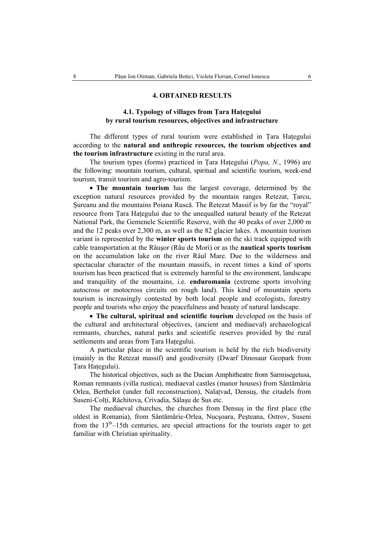## **4. OBTAINED RESULTS**

## **4.1. Typology of villages from Ţara Haţegului by rural tourism resources, objectives and infrastructure**

The different types of rural tourism were established in Ţara Haţegului according to the **natural and anthropic resources, the tourism objectives and the tourism infrastructure** existing in the rural area.

The tourism types (forms) practiced in Ţara Haţegului (*Popa, N.*, 1996) are the following: mountain tourism, cultural, spiritual and scientific tourism, week-end tourism, transit tourism and agro-tourism.

• **The mountain tourism** has the largest coverage, determined by the exception natural resources provided by the mountain ranges Retezat, Ţarcu, Şureanu and the mountains Poiana Ruscă. The Retezat Massif is by far the "royal" resource from Tara Hategului due to the unequalled natural beauty of the Retezat National Park, the Gemenele Scientific Reserve, with the 40 peaks of over 2,000 m and the 12 peaks over 2,300 m, as well as the 82 glacier lakes. A mountain tourism variant is represented by the **winter sports tourism** on the ski track equipped with cable transportation at the Râuşor (Râu de Mori) or as the **nautical sports tourism** on the accumulation lake on the river Râul Mare. Due to the wilderness and spectacular character of the mountain massifs, in recent times a kind of sports tourism has been practiced that is extremely harmful to the environment, landscape and tranquility of the mountains, i.e. **enduromania** (extreme sports involving autocross or motocross circuits on rough land). This kind of mountain sports tourism is increasingly contested by both local people and ecologists, forestry people and tourists who enjoy the peacefulness and beauty of natural landscape.

• **The cultural, spiritual and scientific tourism** developed on the basis of the cultural and architectural objectives, (ancient and mediaeval) archaeological remnants, churches, natural parks and scientific reserves provided by the rural settlements and areas from Tara Hategului.

A particular place in the scientific tourism is held by the rich biodiversity (mainly in the Retezat massif) and geodiversity (Dwarf Dinosaur Geopark from Tara Hategului).

The historical objectives, such as the Dacian Amphitheatre from Sarmisegetusa, Roman remnants (villa rustica), mediaeval castles (manor houses) from Sântămăria Orlea, Berthelot (under full reconstruction), Nalaţvad, Densuş, the citadels from Suseni-Colti, Răchitova, Crivadia, Sălasu de Sus etc.

The mediaeval churches, the churches from Densuş in the first place (the oldest in Romania), from Sântămărie-Orlea, Nucşoara, Peşteana, Ostrov, Suseni from the  $13<sup>th</sup>-15th$  centuries, are special attractions for the tourists eager to get familiar with Christian spirituality.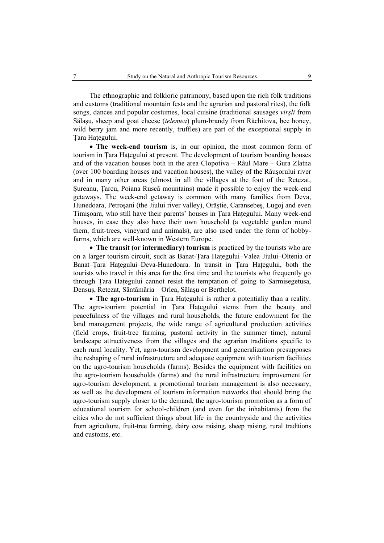The ethnographic and folkloric patrimony, based upon the rich folk traditions and customs (traditional mountain fests and the agrarian and pastoral rites), the folk songs, dances and popular costumes, local cuisine (traditional sausages *virşli* from Sălaşu, sheep and goat cheese (*telemea*) plum-brandy from Răchitova, bee honey, wild berry jam and more recently, truffles) are part of the exceptional supply in Tara Hategului.

• **The week-end tourism** is, in our opinion, the most common form of tourism in Ţara Haţegului at present. The development of tourism boarding houses and of the vacation houses both in the area Clopotiva – Râul Mare – Gura Zlatna (over 100 boarding houses and vacation houses), the valley of the Râuşorului river and in many other areas (almost in all the villages at the foot of the Retezat, Şureanu, Ţarcu, Poiana Ruscă mountains) made it possible to enjoy the week-end getaways. The week-end getaway is common with many families from Deva, Hunedoara, Petroşani (the Jiului river valley), Orăştie, Caransebeş, Lugoj and even Timişoara, who still have their parents' houses in Ţara Haţegului. Many week-end houses, in case they also have their own household (a vegetable garden round them, fruit-trees, vineyard and animals), are also used under the form of hobbyfarms, which are well-known in Western Europe.

• **The transit (or intermediary) tourism** is practiced by the tourists who are on a larger tourism circuit, such as Banat-Tara Hategului–Valea Jiului–Oltenia or Banat–Ţara Haţegului–Deva-Hunedoara. In transit in Ţara Haţegului, both the tourists who travel in this area for the first time and the tourists who frequently go through Tara Hategului cannot resist the temptation of going to Sarmisegetusa, Densuş, Retezat, Sântămăria – Orlea, Sălaşu or Berthelot.

• **The agro-tourism** in Ţara Haţegului is rather a potentialiy than a reality. The agro-tourism potential in Tara Hategului stems from the beauty and peacefulness of the villages and rural households, the future endowment for the land management projects, the wide range of agricultural production activities (field crops, fruit-tree farming, pastoral activity in the summer time), natural landscape attractiveness from the villages and the agrarian traditions specific to each rural locality. Yet, agro-tourism development and generalization presupposes the reshaping of rural infrastructure and adequate equipment with tourism facilities on the agro-tourism households (farms). Besides the equipment with facilities on the agro-tourism households (farms) and the rural infrastructure improvement for agro-tourism development, a promotional tourism management is also necessary, as well as the development of tourism information networks that should bring the agro-tourism supply closer to the demand, the agro-tourism promotion as a form of educational tourism for school-children (and even for the inhabitants) from the cities who do not sufficient things about life in the countryside and the activities from agriculture, fruit-tree farming, dairy cow raising, sheep raising, rural traditions and customs, etc.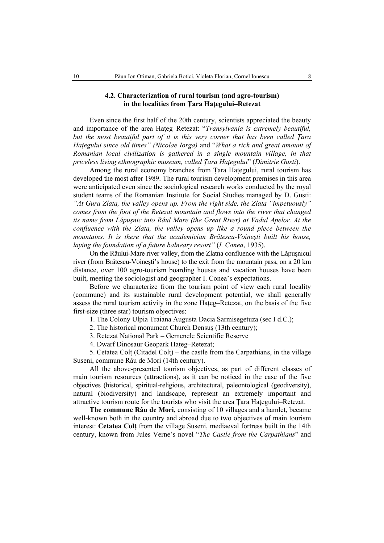## **4.2. Characterization of rural tourism (and agro-tourism) in the localities from Ţara Haţegului–Retezat**

Even since the first half of the 20th century, scientists appreciated the beauty and importance of the area Hateg–Retezat: "*Transylvania is extremely beautiful*, *but the most beautiful part of it is this very corner that has been called Ţara Haţegului since old times" (Nicolae Iorga)* and "*What a rich and great amount of Romanian local civilization is gathered in a single mountain village, in that priceless living ethnographic museum, called Ţara Haţegului*" (*Dimitrie Gusti*).

Among the rural economy branches from Ţara Haţegului, rural tourism has developed the most after 1989. The rural tourism development premises in this area were anticipated even since the sociological research works conducted by the royal student teams of the Romanian Institute for Social Studies managed by D. Gusti: *"At Gura Zlata, the valley opens up. From the right side, the Zlata "impetuously" comes from the foot of the Retezat mountain and flows into the river that changed its name from Lăpuşnic into Râul Mare (the Great River) at Vadul Apelor. At the confluence with the Zlata, the valley opens up like a round piece between the mountains. It is there that the academician Brătescu-Voineşti built his house, laying the foundation of a future balneary resort"* (*I. Conea*, 1935).

On the Râului-Mare river valley, from the Zlatna confluence with the Lăpuşnicul river (from Brătescu-Voineşti's house) to the exit from the mountain pass, on a 20 km distance, over 100 agro-tourism boarding houses and vacation houses have been built, meeting the sociologist and geographer I. Conea's expectations.

Before we characterize from the tourism point of view each rural locality (commune) and its sustainable rural development potential, we shall generally assess the rural tourism activity in the zone Hateg–Retezat, on the basis of the five first-size (three star) tourism objectives:

1. The Colony Ulpia Traiana Augusta Dacia Sarmisegetuza (sec I d.C.);

2. The historical monument Church Densuş (13th century);

3. Retezat National Park – Gemenele Scientific Reserve

4. Dwarf Dinosaur Geopark Haţeg–Retezat;

5. Cetatea Colţ (Citadel Colţ) – the castle from the Carpathians, in the village Suseni, commune Râu de Mori (14th century).

All the above-presented tourism objectives, as part of different classes of main tourism resources (attractions), as it can be noticed in the case of the five objectives (historical, spiritual-religious, architectural, paleontological (geodiversity), natural (biodiversity) and landscape, represent an extremely important and attractive tourism route for the tourists who visit the area Tara Hategului–Retezat.

**The commune Râu de Mori,** consisting of 10 villages and a hamlet, became well-known both in the country and abroad due to two objectives of main tourism interest: **Cetatea Colţ** from the village Suseni, mediaeval fortress built in the 14th century, known from Jules Verne's novel "*The Castle from the Carpathians*" and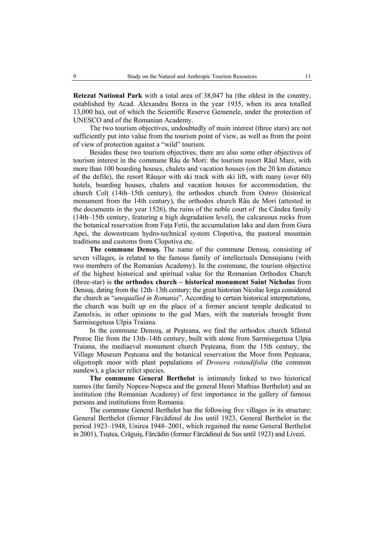**Retezat National Park** with a total area of 38,047 ha (the oldest in the country, established by Acad. Alexandru Borza in the year 1935, when its area totalled 13,000 ha), out of which the Scientific Reserve Gemenele, under the protection of UNESCO and of the Romanian Academy.

The two tourism objectives, undoubtedly of main interest (three stars) are not sufficiently put into value from the tourism point of view, as well as from the point of view of protection against a "wild" tourism.

Besides these two tourism objectives, there are also some other objectives of tourism interest in the commune Râu de Mori: the tourism resort Râul Mare, with more than 100 boarding houses, chalets and vacation houses (on the 20 km distance of the defile), the resort Râuşor with ski track with ski lift, with many (over 60) hotels, boarding houses, chalets and vacation houses for accommodation, the church Colţ (14th–15th century), the orthodox church from Ostrov (historical monument from the 14th century), the orthodox church Râu de Mori (attested in the documents in the year 1526), the ruins of the noble court of the Cândea family (14th–15th century, featuring a high degradation level), the calcareous rocks from the botanical reservation from Faţa Fetii, the accumulation lake and dam from Gura Apei, the downstream hydro-technical system Clopotiva, the pastoral mountain traditions and customs from Clopotiva etc.

**The commune Densuş.** The name of the commune Densuş, consisting of seven villages, is related to the famous family of intellectuals Densuşianu (with two members of the Romanian Academy). In the commune, the tourism objective of the highest historical and spiritual value for the Romanian Orthodox Church (three-star) is **the orthodox church – historical monument Saint Nicholas** from Densuş, dating from the 12th–13th century; the great historian Nicolae Iorga considered the church as "*unequalled in Romania*". According to certain historical interpretations, the church was built up on the place of a former ancient temple dedicated to Zamolxis, in other opinions to the god Mars, with the materials brought from Sarmisegetusa Ulpia Traiana.

In the commune Densuş, at Peşteana, we find the orthodox church Sfântul Proroc Ilie from the 13th–14th century, built with stone from Sarmisegetusa Ulpia Traiana, the mediaeval monument church Peşteana, from the 15th century, the Village Museum Peşteana and the botanical reservation the Moor from Peşteana, oligotroph moor with plant populations of *Drosera rotundifolia* (the common sundew), a glacier relict species.

**The commune General Berthelot** is intimately linked to two historical names (the family Nopcea-Nopsca and the general Henri Mathias Berthelot) and an institution (the Romanian Academy) of first importance in the gallery of famous persons and institutions from Romania.

The commune General Berthelot has the following five villages in its structure: General Berthelot (former Fărcădinul de Jos until 1923, General Berthelot in the period 1923–1948, Unirea 1948–2001, which regained the name General Berthelot in 2001), Tuştea, Crăguiş, Fărcădin (former Fărcădinul de Sus until 1923) and Livezi.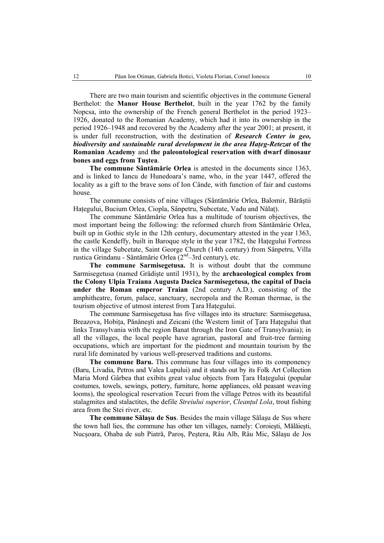There are two main tourism and scientific objectives in the commune General Berthelot: the **Manor House Berthelot**, built in the year 1762 by the family Nopcsa, into the ownership of the French general Berthelot in the period 1923– 1926, donated to the Romanian Academy, which had it into its ownership in the period 1926–1948 and recovered by the Academy after the year 2001; at present, it is under full reconstruction, with the destination of *Research Center in geo, biodiversity and sustainable rural development in the area Haţeg-Retezat* **of the Romanian Academy** and **the paleontological reservation with dwarf dinosaur bones and eggs from Tuştea**.

**The commune Sântămărie Orlea** is attested in the documents since 1363, and is linked to Iancu de Hunedoara's name, who, in the year 1447, offered the locality as a gift to the brave sons of Ion Cânde, with function of fair and customs house.

The commune consists of nine villages (Sântămărie Orlea, Balomir, Bărăştii Haţegului, Bucium Orlea, Ciopla, Sânpetru, Subcetate, Vadu and Nălaţ).

The commune Sântămărie Orlea has a multitude of tourism objectives, the most important being the following: the reformed church from Sântămărie Orlea, built up in Gothic style in the 12th century, documentary attested in the year 1363, the castle Kendeffy, built in Baroque style in the year 1782, the Haţegului Fortress in the village Subcetate, Saint George Church (14th century) from Sânpetru, Villa rustica Grindanu - Sântămărie Orlea (2nd–3rd century), etc.

**The commune Sarmisegetusa.** It is without doubt that the commune Sarmisegetusa (named Grădişte until 1931), by the **archaeological complex from the Colony Ulpia Traiana Augusta Dacica Sarmisegetusa, the capital of Dacia under the Roman emperor Traian** (2nd century A.D.), consisting of the amphitheatre, forum, palace, sanctuary, necropola and the Roman thermae, is the tourism objective of utmost interest from Tara Hategului.

The commune Sarmisegetusa has five villages into its structure: Sarmisegetusa, Breazova, Hobita, Pănănești and Zeicani (the Western limit of Tara Hategului that links Transylvania with the region Banat through the Iron Gate of Transylvania); in all the villages, the local people have agrarian, pastoral and fruit-tree farming occupations, which are important for the piedmont and mountain tourism by the rural life dominated by various well-preserved traditions and customs.

**The commune Baru.** This commune has four villages into its componency (Baru, Livadia, Petros and Valea Lupului) and it stands out by its Folk Art Collection Maria Mord Gârbea that exibits great value objects from Tara Hategului (popular costumes, towels, sewings, pottery, furniture, home appliances, old peasant weaving looms), the speological reservation Tecuri from the village Petros with its beautiful stalagmites and stalactites, the defile *Streiului superior*, *Cleanţul Lola*, trout fishing area from the Stei river, etc.

**The commune Sălaşu de Sus**. Besides the main village Sălaşu de Sus where the town hall lies, the commune has other ten villages, namely: Coroieşti, Mălăieşti, Nucşoara, Ohaba de sub Piatră, Paroş, Peştera, Râu Alb, Râu Mic, Sălaşu de Jos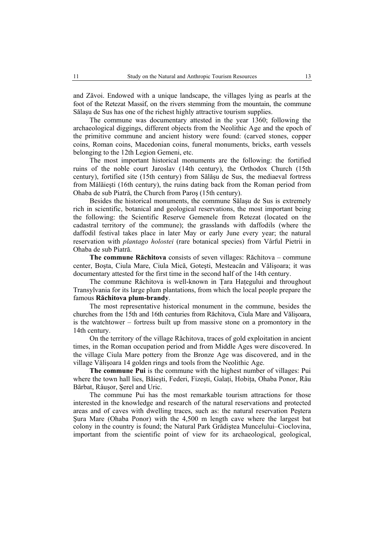and Zăvoi. Endowed with a unique landscape, the villages lying as pearls at the foot of the Retezat Massif, on the rivers stemming from the mountain, the commune Sălaşu de Sus has one of the richest highly attractive tourism supplies.

The commune was documentary attested in the year 1360; following the archaeological diggings, different objects from the Neolithic Age and the epoch of the primitive commune and ancient history were found: (carved stones, copper coins, Roman coins, Macedonian coins, funeral monuments, bricks, earth vessels belonging to the 12th Legion Gemeni, etc.

The most important historical monuments are the following: the fortified ruins of the noble court Jaroslav (14th century), the Orthodox Church (15th century), fortified site (15th century) from Sălăşu de Sus, the mediaeval fortress from Mălăieşti (16th century), the ruins dating back from the Roman period from Ohaba de sub Piatră, the Church from Paroş (15th century).

Besides the historical monuments, the commune Sălaşu de Sus is extremely rich in scientific, botanical and geological reservations, the most important being the following: the Scientific Reserve Gemenele from Retezat (located on the cadastral territory of the commune); the grasslands with daffodils (where the daffodil festival takes place in later May or early June every year; the natural reservation with *plantago holostei* (rare botanical species) from Vârful Pietrii in Ohaba de sub Piatră.

**The commune Răchitova** consists of seven villages: Răchitova – commune center, Boşta, Ciula Mare, Ciula Mică, Goteşti, Mesteacăn and Vălişoara; it was documentary attested for the first time in the second half of the 14th century.

The commune Răchitova is well-known in Tara Hategului and throughout Transylvania for its large plum plantations, from which the local people prepare the famous **Răchitova plum-brandy**.

The most representative historical monument in the commune, besides the churches from the 15th and 16th centuries from Răchitova, Ciula Mare and Vălişoara, is the watchtower – fortress built up from massive stone on a promontory in the 14th century.

On the territory of the village Răchitova, traces of gold exploitation in ancient times, in the Roman occupation period and from Middle Ages were discovered. In the village Ciula Mare pottery from the Bronze Age was discovered, and in the village Vălişoara 14 golden rings and tools from the Neolithic Age.

**The commune Pui** is the commune with the highest number of villages: Pui where the town hall lies, Băiești, Federi, Fizești, Galați, Hobița, Ohaba Ponor, Râu Bărbat, Râuşor, Şerel and Uric.

The commune Pui has the most remarkable tourism attractions for those interested in the knowledge and research of the natural reservations and protected areas and of caves with dwelling traces, such as: the natural reservation Peştera Şura Mare (Ohaba Ponor) with the 4,500 m length cave where the largest bat colony in the country is found; the Natural Park Grădiştea Muncelului–Cioclovina, important from the scientific point of view for its archaeological, geological,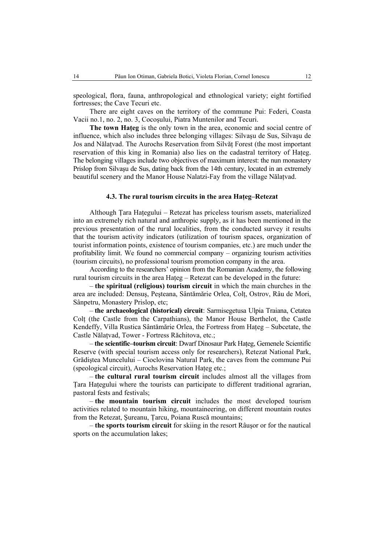speological, flora, fauna, anthropological and ethnological variety; eight fortified fortresses; the Cave Tecuri etc.

There are eight caves on the territory of the commune Pui: Federi, Coasta Vacii no.1, no. 2, no. 3, Cocoşului, Piatra Muntenilor and Tecuri.

**The town Haţeg** is the only town in the area, economic and social centre of influence, which also includes three belonging villages: Silvaşu de Sus, Silvaşu de Jos and Nălaţvad. The Aurochs Reservation from Silvăţ Forest (the most important reservation of this king in Romania) also lies on the cadastral territory of Hateg. The belonging villages include two objectives of maximum interest: the nun monastery Prislop from Silvaşu de Sus, dating back from the 14th century, located in an extremely beautiful scenery and the Manor House Nalatzi-Fay from the village Nălaţvad.

## **4.3. The rural tourism circuits in the area Haţeg–Retezat**

Although Ţara Haţegului – Retezat has priceless tourism assets, materialized into an extremely rich natural and anthropic supply, as it has been mentioned in the previous presentation of the rural localities, from the conducted survey it results that the tourism activity indicators (utilization of tourism spaces, organization of tourist information points, existence of tourism companies, etc.) are much under the profitability limit. We found no commercial company – organizing tourism activities (tourism circuits), no professional tourism promotion company in the area.

According to the researchers' opinion from the Romanian Academy, the following rural tourism circuits in the area Haţeg – Retezat can be developed in the future:

– **the spiritual (religious) tourism circuit** in which the main churches in the area are included: Densuş, Peşteana, Sântămărie Orlea, Colţ, Ostrov, Râu de Mori, Sânpetru, Monastery Prislop, etc;

– **the archaeological (historical) circuit**: Sarmisegetusa Ulpia Traiana, Cetatea Colţ (the Castle from the Carpathians), the Manor House Berthelot, the Castle Kendeffy, Villa Rustica Sântămărie Orlea, the Fortress from Haţeg – Subcetate, the Castle Nălatvad, Tower - Fortress Răchitova, etc.;

– **the scientific–tourism circuit**: Dwarf Dinosaur Park Haţeg, Gemenele Scientific Reserve (with special tourism access only for researchers), Retezat National Park, Grădiştea Muncelului – Cioclovina Natural Park, the caves from the commune Pui (speological circuit), Aurochs Reservation Hateg etc.;

– **the cultural rural tourism circuit** includes almost all the villages from Tara Hategului where the tourists can participate to different traditional agrarian, pastoral fests and festivals;

– **the mountain tourism circuit** includes the most developed tourism activities related to mountain hiking, mountaineering, on different mountain routes from the Retezat, Şureanu, Ţarcu, Poiana Ruscă mountains;

– **the sports tourism circuit** for skiing in the resort Râuşor or for the nautical sports on the accumulation lakes;